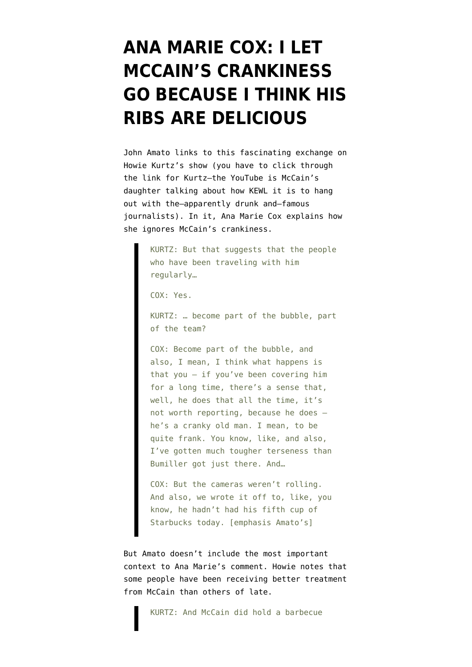## **[ANA MARIE COX: I LET](https://www.emptywheel.net/2008/03/09/ana-marie-cox-i-let-mccains-crankiness-go-because-i-think-his-ribs-are-delicious/) [MCCAIN'S CRANKINESS](https://www.emptywheel.net/2008/03/09/ana-marie-cox-i-let-mccains-crankiness-go-because-i-think-his-ribs-are-delicious/) [GO BECAUSE I THINK HIS](https://www.emptywheel.net/2008/03/09/ana-marie-cox-i-let-mccains-crankiness-go-because-i-think-his-ribs-are-delicious/) [RIBS ARE DELICIOUS](https://www.emptywheel.net/2008/03/09/ana-marie-cox-i-let-mccains-crankiness-go-because-i-think-his-ribs-are-delicious/)**

John Amato [links to](http://www.crooksandliars.com/2008/03/09/media-part-of-the-mccain-bubble-hes-a-cranky-old-man-that-got-caught-in-a-lie/) this fascinating exchange on Howie Kurtz's show (you have to click through the link for Kurtz–the YouTube is McCain's daughter talking about how KEWL it is to hang out with the–apparently drunk and–famous journalists). In it, Ana Marie Cox explains how she ignores McCain's crankiness.

> KURTZ: But that suggests that the people who have been traveling with him regularly…

COX: Yes.

KURTZ: … become part of the bubble, part of the team?

COX: Become part of the bubble, and also, I mean, I think what happens is that you — if you've been covering him for a long time, there's a sense that, well, he does that all the time, it's not worth reporting, because he does he's a cranky old man. I mean, to be quite frank. You know, like, and also, I've gotten much tougher terseness than Bumiller got just there. And…

COX: But the cameras weren't rolling. And also, we wrote it off to, like, you know, he hadn't had his fifth cup of Starbucks today. [emphasis Amato's]

But Amato doesn't include the most important context to Ana Marie's comment. Howie notes that some people have been receiving better treatment from McCain than others of late.

KURTZ: And McCain did hold a barbecue